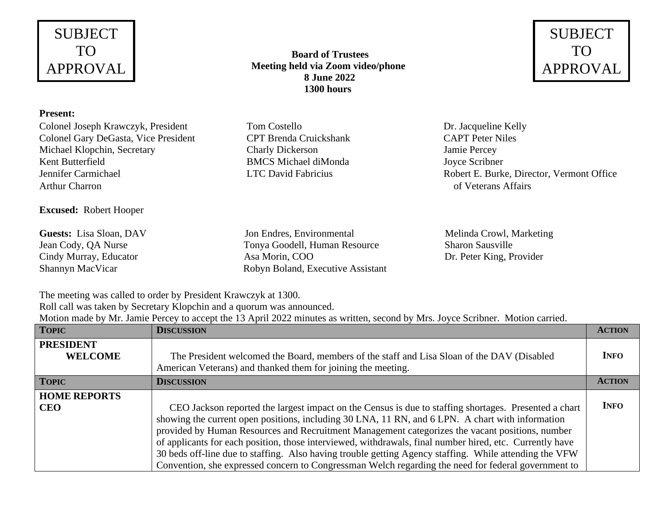# SUBJECT TO APPROVAL

#### **Present:**

Colonel Joseph Krawczyk, President Tom Costello Dr. Jacqueline Kelly Colonel Gary DeGasta, Vice President CPT Brenda Cruickshank CAPT Peter Niles Michael Klopchin, Secretary Charly Dickerson Jamie Percey Kent Butterfield BMCS Michael diMonda Joyce Scribner Arthur Charron **of Veterans Affairs** of Veterans Affairs

### **Excused:** Robert Hooper

**Guests:** Lisa Sloan, DAV Jon Endres, Environmental Melinda Crowl, Marketing Jean Cody, QA Nurse Tonya Goodell, Human Resource Sharon Sausville Cindy Murray, Educator Asa Morin, COO Dr. Peter King, Provider Shannyn MacVicar Robyn Boland, Executive Assistant

 **Board of Trustees Meeting held via Zoom video/phone 8 June 2022 1300 hours**

Jennifer Carmichael LTC David Fabricius Robert E. Burke, Director, Vermont Office

The meeting was called to order by President Krawczyk at 1300.

Roll call was taken by Secretary Klopchin and a quorum was announced.

Motion made by Mr. Jamie Percey to accept the 13 April 2022 minutes as written, second by Mrs. Joyce Scribner. Motion carried.

| <b>TOPIC</b>                       | <b>DISCUSSION</b>                                                                                                                                                                                                                                                                                                                                                                                                                                                                                                                                                                                                                         | <b>ACTION</b> |
|------------------------------------|-------------------------------------------------------------------------------------------------------------------------------------------------------------------------------------------------------------------------------------------------------------------------------------------------------------------------------------------------------------------------------------------------------------------------------------------------------------------------------------------------------------------------------------------------------------------------------------------------------------------------------------------|---------------|
| <b>PRESIDENT</b><br><b>WELCOME</b> | The President welcomed the Board, members of the staff and Lisa Sloan of the DAV (Disabled<br>American Veterans) and thanked them for joining the meeting.                                                                                                                                                                                                                                                                                                                                                                                                                                                                                | <b>INFO</b>   |
| <b>TOPIC</b>                       | <b>DISCUSSION</b>                                                                                                                                                                                                                                                                                                                                                                                                                                                                                                                                                                                                                         | <b>ACTION</b> |
| <b>HOME REPORTS</b><br><b>CEO</b>  | CEO Jackson reported the largest impact on the Census is due to staffing shortages. Presented a chart<br>showing the current open positions, including 30 LNA, 11 RN, and 6 LPN. A chart with information<br>provided by Human Resources and Recruitment Management categorizes the vacant positions, number<br>of applicants for each position, those interviewed, withdrawals, final number hired, etc. Currently have<br>30 beds off-line due to staffing. Also having trouble getting Agency staffing. While attending the VFW<br>Convention, she expressed concern to Congressman Welch regarding the need for federal government to | <b>INFO</b>   |

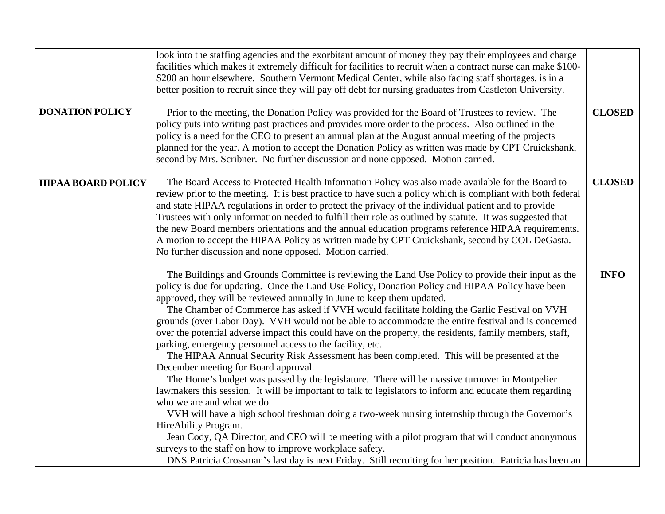| <b>DONATION POLICY</b>    | look into the staffing agencies and the exorbitant amount of money they pay their employees and charge<br>facilities which makes it extremely difficult for facilities to recruit when a contract nurse can make \$100-<br>\$200 an hour elsewhere. Southern Vermont Medical Center, while also facing staff shortages, is in a<br>better position to recruit since they will pay off debt for nursing graduates from Castleton University.<br>Prior to the meeting, the Donation Policy was provided for the Board of Trustees to review. The<br>policy puts into writing past practices and provides more order to the process. Also outlined in the<br>policy is a need for the CEO to present an annual plan at the August annual meeting of the projects<br>planned for the year. A motion to accept the Donation Policy as written was made by CPT Cruickshank,<br>second by Mrs. Scribner. No further discussion and none opposed. Motion carried.                                                                                                                                                                                                                                                                                                                                                                                                                                                                                                 | <b>CLOSED</b> |
|---------------------------|-----------------------------------------------------------------------------------------------------------------------------------------------------------------------------------------------------------------------------------------------------------------------------------------------------------------------------------------------------------------------------------------------------------------------------------------------------------------------------------------------------------------------------------------------------------------------------------------------------------------------------------------------------------------------------------------------------------------------------------------------------------------------------------------------------------------------------------------------------------------------------------------------------------------------------------------------------------------------------------------------------------------------------------------------------------------------------------------------------------------------------------------------------------------------------------------------------------------------------------------------------------------------------------------------------------------------------------------------------------------------------------------------------------------------------------------------------------|---------------|
| <b>HIPAA BOARD POLICY</b> | The Board Access to Protected Health Information Policy was also made available for the Board to<br>review prior to the meeting. It is best practice to have such a policy which is compliant with both federal<br>and state HIPAA regulations in order to protect the privacy of the individual patient and to provide<br>Trustees with only information needed to fulfill their role as outlined by statute. It was suggested that<br>the new Board members orientations and the annual education programs reference HIPAA requirements.<br>A motion to accept the HIPAA Policy as written made by CPT Cruickshank, second by COL DeGasta.<br>No further discussion and none opposed. Motion carried.                                                                                                                                                                                                                                                                                                                                                                                                                                                                                                                                                                                                                                                                                                                                                   | <b>CLOSED</b> |
|                           | The Buildings and Grounds Committee is reviewing the Land Use Policy to provide their input as the<br>policy is due for updating. Once the Land Use Policy, Donation Policy and HIPAA Policy have been<br>approved, they will be reviewed annually in June to keep them updated.<br>The Chamber of Commerce has asked if VVH would facilitate holding the Garlic Festival on VVH<br>grounds (over Labor Day). VVH would not be able to accommodate the entire festival and is concerned<br>over the potential adverse impact this could have on the property, the residents, family members, staff,<br>parking, emergency personnel access to the facility, etc.<br>The HIPAA Annual Security Risk Assessment has been completed. This will be presented at the<br>December meeting for Board approval.<br>The Home's budget was passed by the legislature. There will be massive turnover in Montpelier<br>lawmakers this session. It will be important to talk to legislators to inform and educate them regarding<br>who we are and what we do.<br>VVH will have a high school freshman doing a two-week nursing internship through the Governor's<br>HireAbility Program.<br>Jean Cody, QA Director, and CEO will be meeting with a pilot program that will conduct anonymous<br>surveys to the staff on how to improve workplace safety.<br>DNS Patricia Crossman's last day is next Friday. Still recruiting for her position. Patricia has been an | <b>INFO</b>   |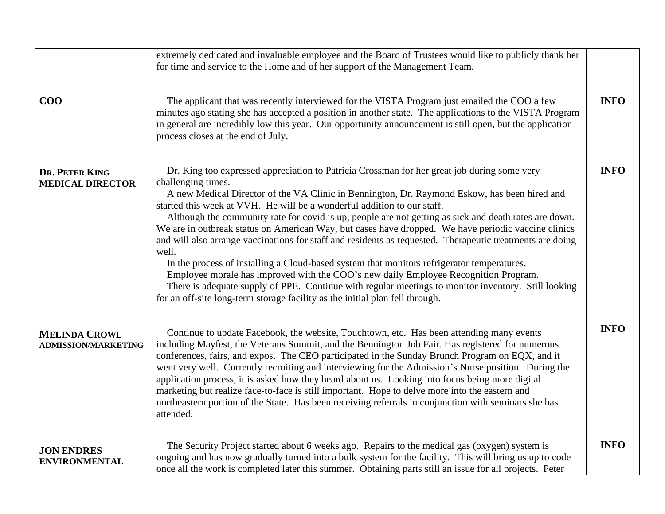| $\bf{COO}$                                         | extremely dedicated and invaluable employee and the Board of Trustees would like to publicly thank her<br>for time and service to the Home and of her support of the Management Team.<br>The applicant that was recently interviewed for the VISTA Program just emailed the COO a few<br>minutes ago stating she has accepted a position in another state. The applications to the VISTA Program<br>in general are incredibly low this year. Our opportunity announcement is still open, but the application<br>process closes at the end of July.                                                                                                                                                                                                                                                                                                                                                                                                                                                             | <b>INFO</b> |
|----------------------------------------------------|----------------------------------------------------------------------------------------------------------------------------------------------------------------------------------------------------------------------------------------------------------------------------------------------------------------------------------------------------------------------------------------------------------------------------------------------------------------------------------------------------------------------------------------------------------------------------------------------------------------------------------------------------------------------------------------------------------------------------------------------------------------------------------------------------------------------------------------------------------------------------------------------------------------------------------------------------------------------------------------------------------------|-------------|
| DR. PETER KING<br><b>MEDICAL DIRECTOR</b>          | Dr. King too expressed appreciation to Patricia Crossman for her great job during some very<br>challenging times.<br>A new Medical Director of the VA Clinic in Bennington, Dr. Raymond Eskow, has been hired and<br>started this week at VVH. He will be a wonderful addition to our staff.<br>Although the community rate for covid is up, people are not getting as sick and death rates are down.<br>We are in outbreak status on American Way, but cases have dropped. We have periodic vaccine clinics<br>and will also arrange vaccinations for staff and residents as requested. Therapeutic treatments are doing<br>well.<br>In the process of installing a Cloud-based system that monitors refrigerator temperatures.<br>Employee morale has improved with the COO's new daily Employee Recognition Program.<br>There is adequate supply of PPE. Continue with regular meetings to monitor inventory. Still looking<br>for an off-site long-term storage facility as the initial plan fell through. | <b>INFO</b> |
| <b>MELINDA CROWL</b><br><b>ADMISSION/MARKETING</b> | Continue to update Facebook, the website, Touchtown, etc. Has been attending many events<br>including Mayfest, the Veterans Summit, and the Bennington Job Fair. Has registered for numerous<br>conferences, fairs, and expos. The CEO participated in the Sunday Brunch Program on EQX, and it<br>went very well. Currently recruiting and interviewing for the Admission's Nurse position. During the<br>application process, it is asked how they heard about us. Looking into focus being more digital<br>marketing but realize face-to-face is still important. Hope to delve more into the eastern and<br>northeastern portion of the State. Has been receiving referrals in conjunction with seminars she has<br>attended.                                                                                                                                                                                                                                                                              | <b>INFO</b> |
| <b>JON ENDRES</b><br><b>ENVIRONMENTAL</b>          | The Security Project started about 6 weeks ago. Repairs to the medical gas (oxygen) system is<br>ongoing and has now gradually turned into a bulk system for the facility. This will bring us up to code<br>once all the work is completed later this summer. Obtaining parts still an issue for all projects. Peter                                                                                                                                                                                                                                                                                                                                                                                                                                                                                                                                                                                                                                                                                           | <b>INFO</b> |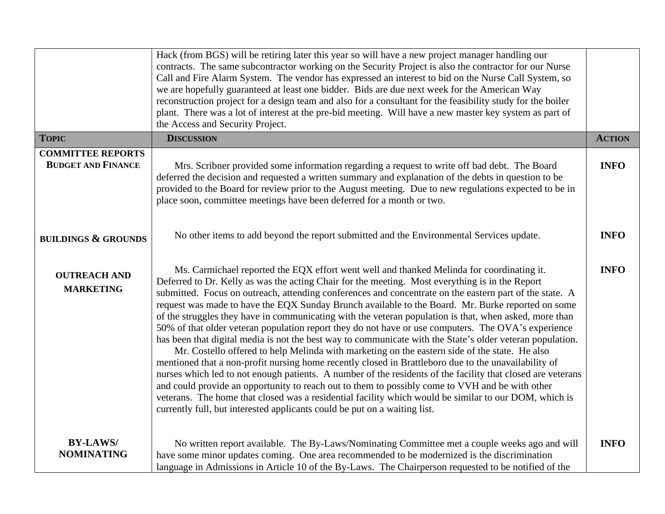|                                                       | Hack (from BGS) will be retiring later this year so will have a new project manager handling our<br>contracts. The same subcontractor working on the Security Project is also the contractor for our Nurse<br>Call and Fire Alarm System. The vendor has expressed an interest to bid on the Nurse Call System, so<br>we are hopefully guaranteed at least one bidder. Bids are due next week for the American Way<br>reconstruction project for a design team and also for a consultant for the feasibility study for the boiler<br>plant. There was a lot of interest at the pre-bid meeting. Will have a new master key system as part of<br>the Access and Security Project.                                                                                                                                                                                                                                                                                                                                                                                                                                                                                                                                                                                                                                                                            |               |
|-------------------------------------------------------|-------------------------------------------------------------------------------------------------------------------------------------------------------------------------------------------------------------------------------------------------------------------------------------------------------------------------------------------------------------------------------------------------------------------------------------------------------------------------------------------------------------------------------------------------------------------------------------------------------------------------------------------------------------------------------------------------------------------------------------------------------------------------------------------------------------------------------------------------------------------------------------------------------------------------------------------------------------------------------------------------------------------------------------------------------------------------------------------------------------------------------------------------------------------------------------------------------------------------------------------------------------------------------------------------------------------------------------------------------------|---------------|
| <b>TOPIC</b>                                          | <b>DISCUSSION</b>                                                                                                                                                                                                                                                                                                                                                                                                                                                                                                                                                                                                                                                                                                                                                                                                                                                                                                                                                                                                                                                                                                                                                                                                                                                                                                                                           | <b>ACTION</b> |
| <b>COMMITTEE REPORTS</b><br><b>BUDGET AND FINANCE</b> | Mrs. Scribner provided some information regarding a request to write off bad debt. The Board<br>deferred the decision and requested a written summary and explanation of the debts in question to be<br>provided to the Board for review prior to the August meeting. Due to new regulations expected to be in<br>place soon, committee meetings have been deferred for a month or two.                                                                                                                                                                                                                                                                                                                                                                                                                                                                                                                                                                                                                                                                                                                                                                                                                                                                                                                                                                     | <b>INFO</b>   |
| <b>BUILDINGS &amp; GROUNDS</b>                        | No other items to add beyond the report submitted and the Environmental Services update.                                                                                                                                                                                                                                                                                                                                                                                                                                                                                                                                                                                                                                                                                                                                                                                                                                                                                                                                                                                                                                                                                                                                                                                                                                                                    | <b>INFO</b>   |
| <b>OUTREACH AND</b><br><b>MARKETING</b>               | Ms. Carmichael reported the EQX effort went well and thanked Melinda for coordinating it.<br>Deferred to Dr. Kelly as was the acting Chair for the meeting. Most everything is in the Report<br>submitted. Focus on outreach, attending conferences and concentrate on the eastern part of the state. A<br>request was made to have the EQX Sunday Brunch available to the Board. Mr. Burke reported on some<br>of the struggles they have in communicating with the veteran population is that, when asked, more than<br>50% of that older veteran population report they do not have or use computers. The OVA's experience<br>has been that digital media is not the best way to communicate with the State's older veteran population.<br>Mr. Costello offered to help Melinda with marketing on the eastern side of the state. He also<br>mentioned that a non-profit nursing home recently closed in Brattleboro due to the unavailability of<br>nurses which led to not enough patients. A number of the residents of the facility that closed are veterans<br>and could provide an opportunity to reach out to them to possibly come to VVH and be with other<br>veterans. The home that closed was a residential facility which would be similar to our DOM, which is<br>currently full, but interested applicants could be put on a waiting list. | <b>INFO</b>   |
| <b>BY-LAWS/</b><br><b>NOMINATING</b>                  | No written report available. The By-Laws/Nominating Committee met a couple weeks ago and will<br>have some minor updates coming. One area recommended to be modernized is the discrimination<br>language in Admissions in Article 10 of the By-Laws. The Chairperson requested to be notified of the                                                                                                                                                                                                                                                                                                                                                                                                                                                                                                                                                                                                                                                                                                                                                                                                                                                                                                                                                                                                                                                        | <b>INFO</b>   |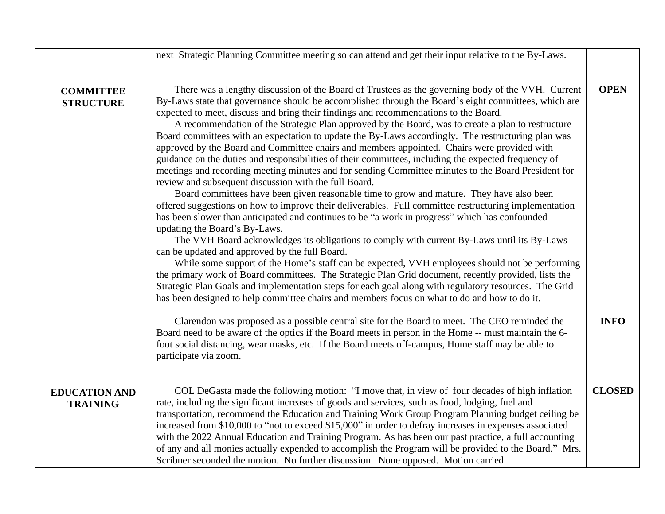next Strategic Planning Committee meeting so can attend and get their input relative to the By-Laws.

## **COMMITTEE STRUCTURE**

There was a lengthy discussion of the Board of Trustees as the governing body of the VVH. Current By-Laws state that governance should be accomplished through the Board's eight committees, which are expected to meet, discuss and bring their findings and recommendations to the Board. **OPEN**

A recommendation of the Strategic Plan approved by the Board, was to create a plan to restructure Board committees with an expectation to update the By-Laws accordingly. The restructuring plan was approved by the Board and Committee chairs and members appointed. Chairs were provided with guidance on the duties and responsibilities of their committees, including the expected frequency of meetings and recording meeting minutes and for sending Committee minutes to the Board President for review and subsequent discussion with the full Board.

Board committees have been given reasonable time to grow and mature. They have also been offered suggestions on how to improve their deliverables. Full committee restructuring implementation has been slower than anticipated and continues to be "a work in progress" which has confounded updating the Board's By-Laws.

The VVH Board acknowledges its obligations to comply with current By-Laws until its By-Laws can be updated and approved by the full Board.

While some support of the Home's staff can be expected, VVH employees should not be performing the primary work of Board committees. The Strategic Plan Grid document, recently provided, lists the Strategic Plan Goals and implementation steps for each goal along with regulatory resources. The Grid has been designed to help committee chairs and members focus on what to do and how to do it.

Clarendon was proposed as a possible central site for the Board to meet. The CEO reminded the Board need to be aware of the optics if the Board meets in person in the Home -- must maintain the 6 foot social distancing, wear masks, etc. If the Board meets off-campus, Home staff may be able to participate via zoom. **INFO**

### **EDUCATION AND TRAINING**

COL DeGasta made the following motion: "I move that, in view of four decades of high inflation rate, including the significant increases of goods and services, such as food, lodging, fuel and transportation, recommend the Education and Training Work Group Program Planning budget ceiling be increased from \$10,000 to "not to exceed \$15,000" in order to defray increases in expenses associated with the 2022 Annual Education and Training Program. As has been our past practice, a full accounting of any and all monies actually expended to accomplish the Program will be provided to the Board." Mrs. Scribner seconded the motion. No further discussion. None opposed. Motion carried. **CLOSED**